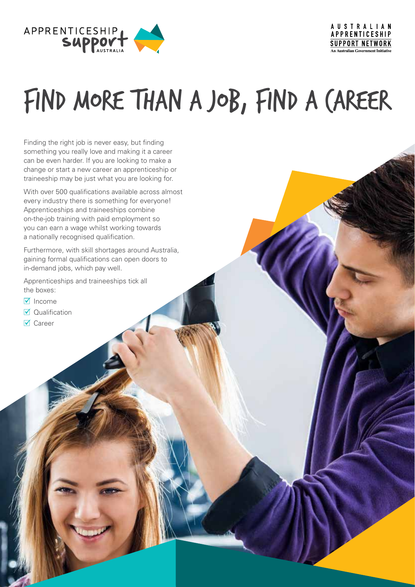

**AUSTRALIAN** APPRENTICESHIP **SUPPORT NETWORK An Australian Covernment Initiative** 

# FIND MORE THAN A JOB, FIND A CAREER

Finding the right job is never easy, but finding something you really love and making it a career can be even harder. If you are looking to make a change or start a new career an apprenticeship or traineeship may be just what you are looking for.

With over 500 qualifications available across almost every industry there is something for everyone! Apprenticeships and traineeships combine on-the-job training with paid employment so you can earn a wage whilst working towards a nationally recognised qualification.

Furthermore, with skill shortages around Australia, gaining formal qualifications can open doors to in-demand jobs, which pay well.

Apprenticeships and traineeships tick all the boxes:

- $\overline{\mathsf{M}}$  Income
- $\nabla$  Qualification
- $\nabla$  Career

Powered by